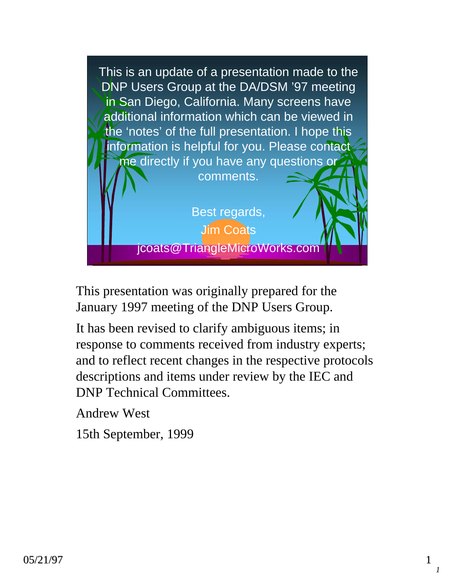

This presentation was originally prepared for the January 1997 meeting of the DNP Users Group.

It has been revised to clarify ambiguous items; in response to comments received from industry experts; and to reflect recent changes in the respective protocols descriptions and items under review by the IEC and DNP Technical Committees.

Andrew West

15th September, 1999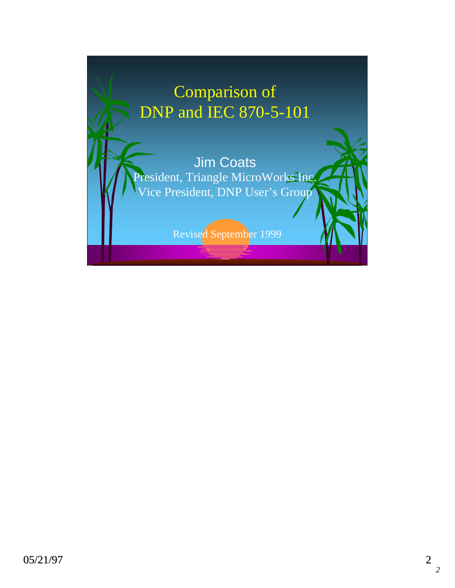# Comparison of DNP and IEC 870-5-101 Jim Coats President, Triangle MicroWorks Inc. Vice President, DNP User's Group Revised September 1999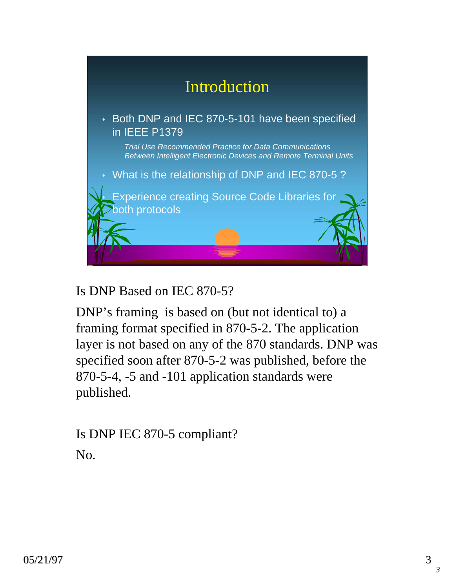

Is DNP Based on IEC 870-5?

DNP's framing is based on (but not identical to) a framing format specified in 870-5-2. The application layer is not based on any of the 870 standards. DNP was specified soon after 870-5-2 was published, before the 870-5-4, -5 and -101 application standards were published.

Is DNP IEC 870-5 compliant? No.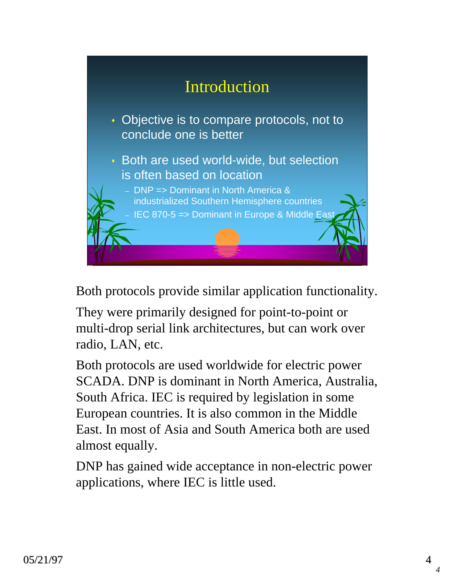

Both protocols provide similar application functionality.

They were primarily designed for point-to-point or multi-drop serial link architectures, but can work over radio, LAN, etc.

Both protocols are used worldwide for electric power SCADA. DNP is dominant in North America, Australia, South Africa. IEC is required by legislation in some European countries. It is also common in the Middle East. In most of Asia and South America both are used almost equally.

DNP has gained wide acceptance in non-electric power applications, where IEC is little used.

*4*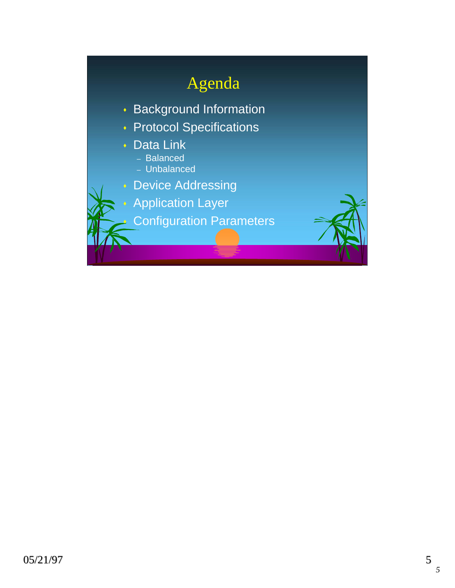# Agenda

- Background Information
- Protocol Specifications
- Data Link
	- Balanced
	- Unbalanced
- Device Addressing
- Application Layer
	- Configuration Parameters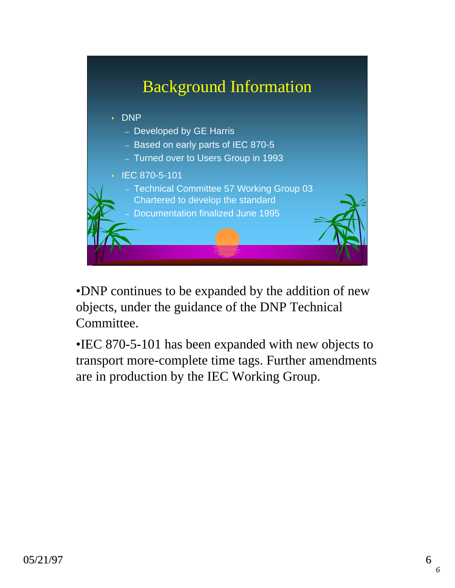

•DNP continues to be expanded by the addition of new objects, under the guidance of the DNP Technical Committee.

•IEC 870-5-101 has been expanded with new objects to transport more-complete time tags. Further amendments are in production by the IEC Working Group.

*6*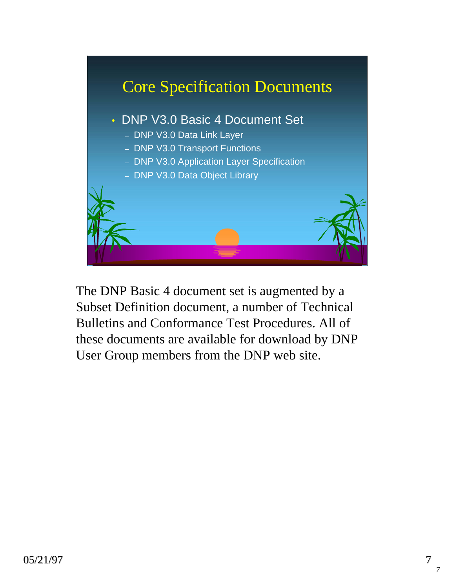

The DNP Basic 4 document set is augmented by a Subset Definition document, a number of Technical Bulletins and Conformance Test Procedures. All of these documents are available for download by DNP User Group members from the DNP web site.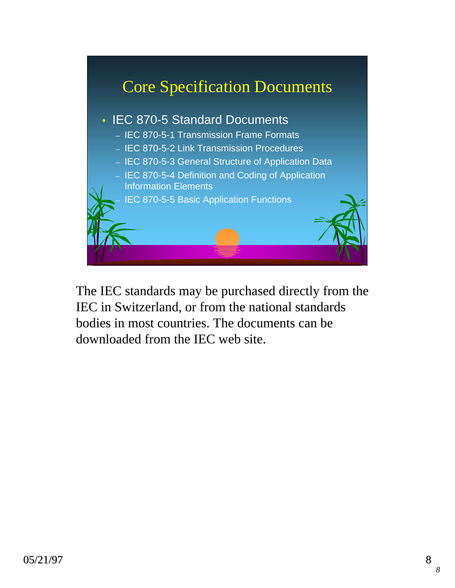

The IEC standards may be purchased directly from the IEC in Switzerland, or from the national standards bodies in most countries. The documents can be downloaded from the IEC web site.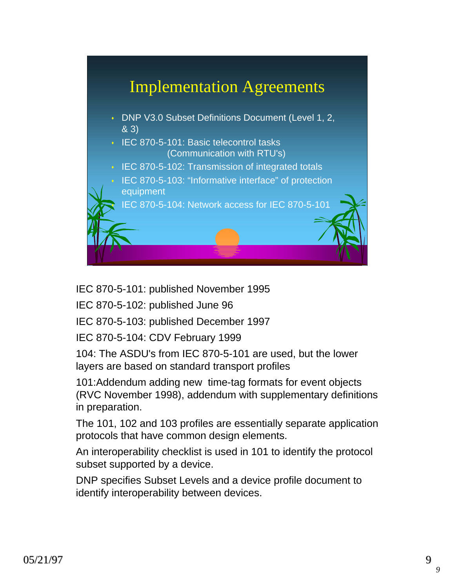

IEC 870-5-101: published November 1995

IEC 870-5-102: published June 96

IEC 870-5-103: published December 1997

IEC 870-5-104: CDV February 1999

104: The ASDU's from IEC 870-5-101 are used, but the lower layers are based on standard transport profiles

101:Addendum adding new time-tag formats for event objects (RVC November 1998), addendum with supplementary definitions in preparation.

The 101, 102 and 103 profiles are essentially separate application protocols that have common design elements.

An interoperability checklist is used in 101 to identify the protocol subset supported by a device.

DNP specifies Subset Levels and a device profile document to identify interoperability between devices.

*9*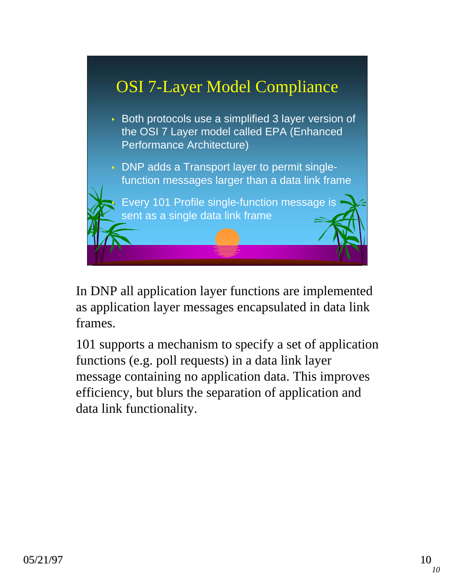

In DNP all application layer functions are implemented as application layer messages encapsulated in data link frames.

101 supports a mechanism to specify a set of application functions (e.g. poll requests) in a data link layer message containing no application data. This improves efficiency, but blurs the separation of application and data link functionality.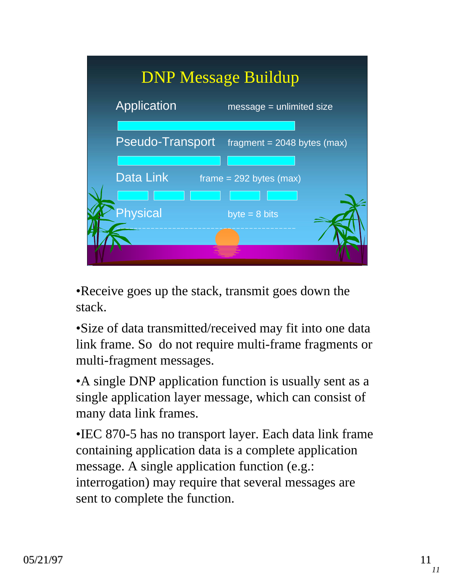

•Receive goes up the stack, transmit goes down the stack.

•Size of data transmitted/received may fit into one data link frame. So do not require multi-frame fragments or multi-fragment messages.

•A single DNP application function is usually sent as a single application layer message, which can consist of many data link frames.

•IEC 870-5 has no transport layer. Each data link frame containing application data is a complete application message. A single application function (e.g.: interrogation) may require that several messages are sent to complete the function.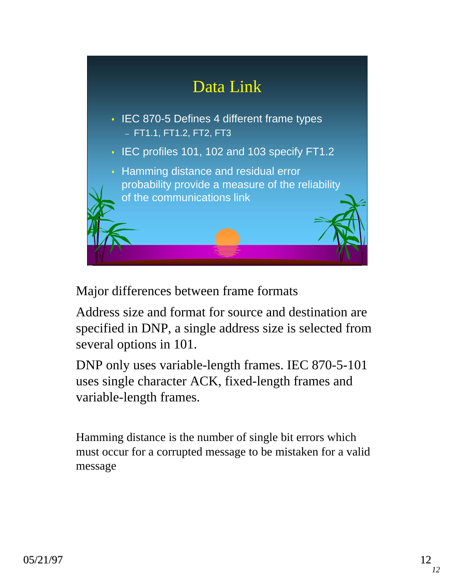

Major differences between frame formats

Address size and format for source and destination are specified in DNP, a single address size is selected from several options in 101.

DNP only uses variable-length frames. IEC 870-5-101 uses single character ACK, fixed-length frames and variable-length frames.

Hamming distance is the number of single bit errors which must occur for a corrupted message to be mistaken for a valid message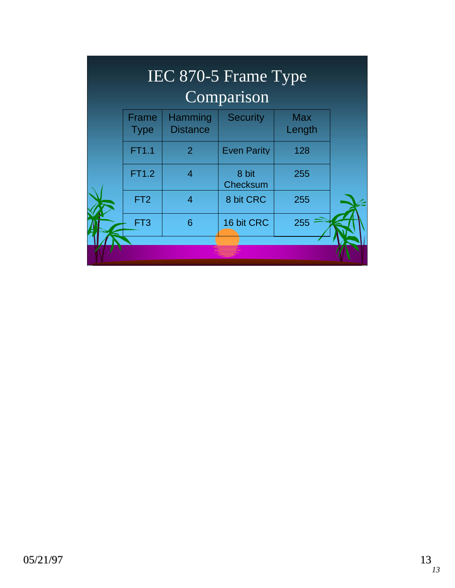| IEC 870-5 Frame Type<br>Comparison |                      |                            |                    |                      |  |
|------------------------------------|----------------------|----------------------------|--------------------|----------------------|--|
|                                    | Frame<br><b>Type</b> | Hamming<br><b>Distance</b> | <b>Security</b>    | <b>Max</b><br>Length |  |
|                                    | FT1.1                | 2                          | <b>Even Parity</b> | 128                  |  |
|                                    | <b>FT1.2</b>         | $\overline{4}$             | 8 bit<br>Checksum  | 255                  |  |
|                                    | FT <sub>2</sub>      | $\overline{4}$             | 8 bit CRC          | 255                  |  |
|                                    | FT <sub>3</sub>      | 6                          | 16 bit CRC         | 255                  |  |
|                                    |                      |                            |                    |                      |  |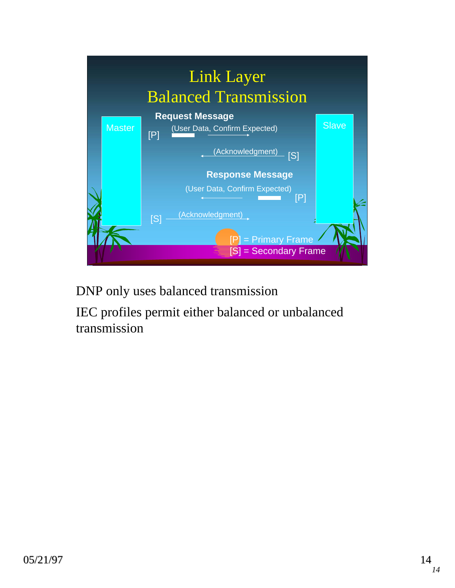

DNP only uses balanced transmission

IEC profiles permit either balanced or unbalanced transmission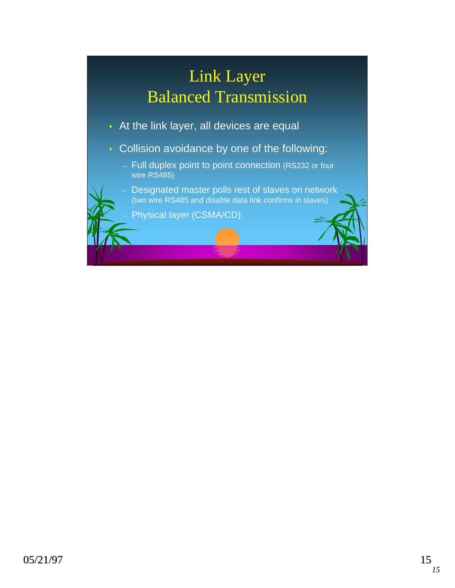# Link Layer Balanced Transmission

- At the link layer, all devices are equal
- **Collision avoidance by one of the following:** 
	- Full duplex point to point connection (RS232 or four wire RS485)
	- Designated master polls rest of slaves on network (two wire RS485 and disable data link confirms in slaves)

– Physical layer (CSMA/CD)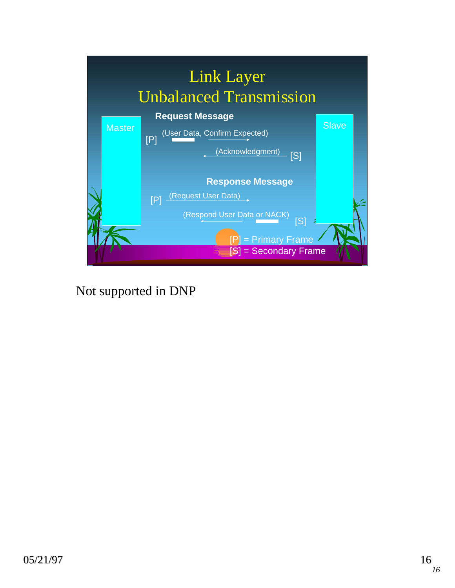

Not supported in DNP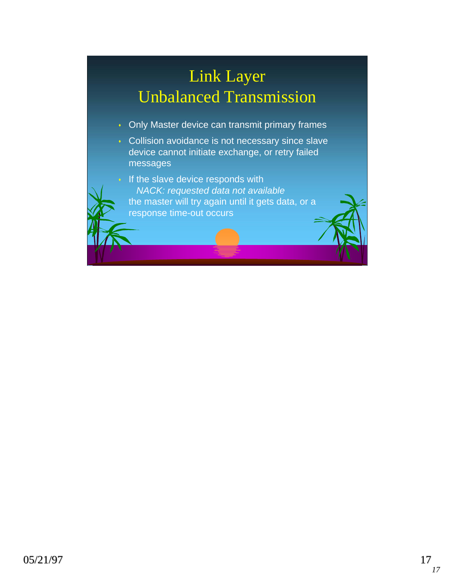# Link Layer Unbalanced Transmission

- **Only Master device can transmit primary frames**
- **Collision avoidance is not necessary since slave** device cannot initiate exchange, or retry failed messages
	- If the slave device responds with *NACK: requested data not available* the master will try again until it gets data, or a response time-out occurs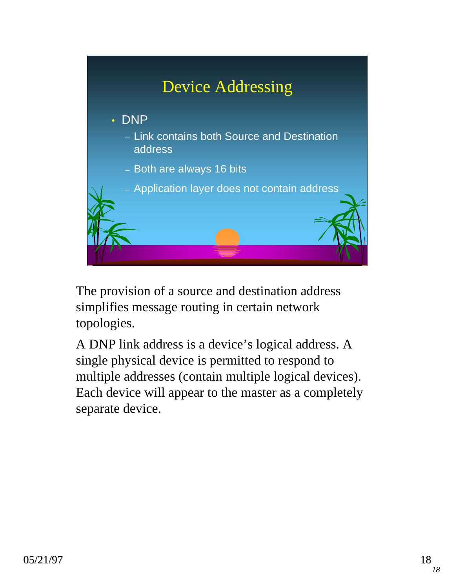

The provision of a source and destination address simplifies message routing in certain network topologies.

A DNP link address is a device's logical address. A single physical device is permitted to respond to multiple addresses (contain multiple logical devices). Each device will appear to the master as a completely separate device.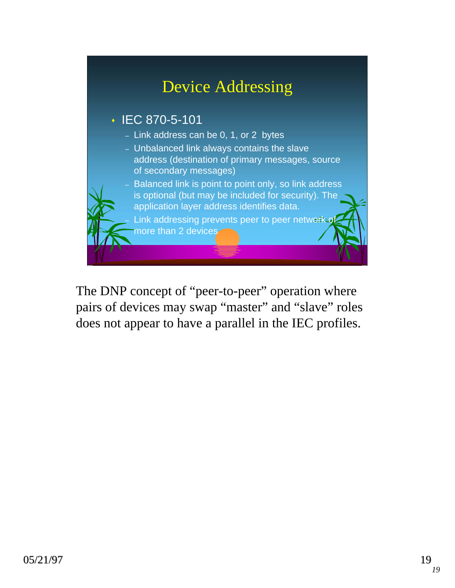

The DNP concept of "peer-to-peer" operation where pairs of devices may swap "master" and "slave" roles does not appear to have a parallel in the IEC profiles.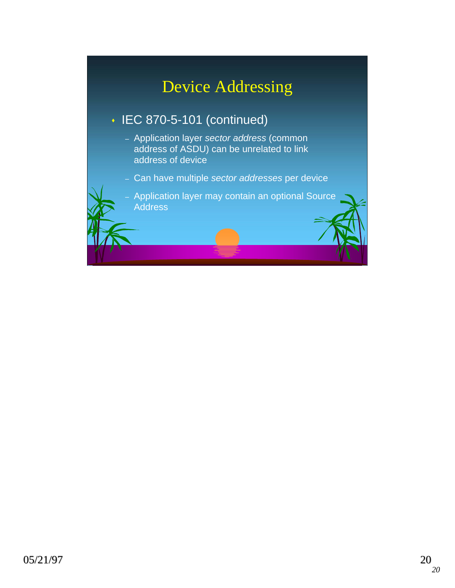### Device Addressing

#### • IEC 870-5-101 (continued)

- Application layer *sector address* (common address of ASDU) can be unrelated to link address of device
- Can have multiple *sector addresses* per device

– Application layer may contain an optional Source **Address**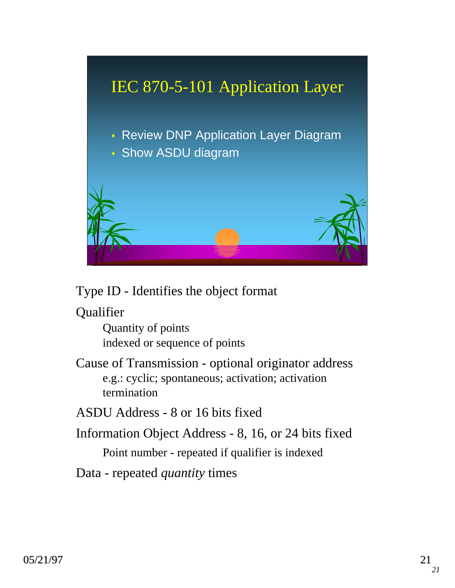

#### Type ID - Identifies the object format

Qualifier

Quantity of points indexed or sequence of points

Cause of Transmission - optional originator address e.g.: cyclic; spontaneous; activation; activation termination

ASDU Address - 8 or 16 bits fixed

Information Object Address - 8, 16, or 24 bits fixed Point number - repeated if qualifier is indexed

Data - repeated *quantity* times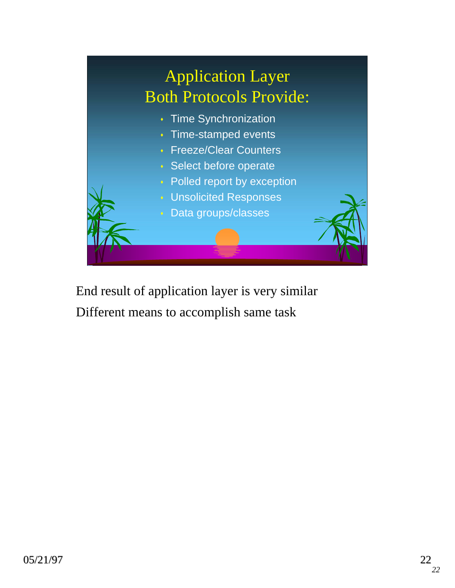

End result of application layer is very similar Different means to accomplish same task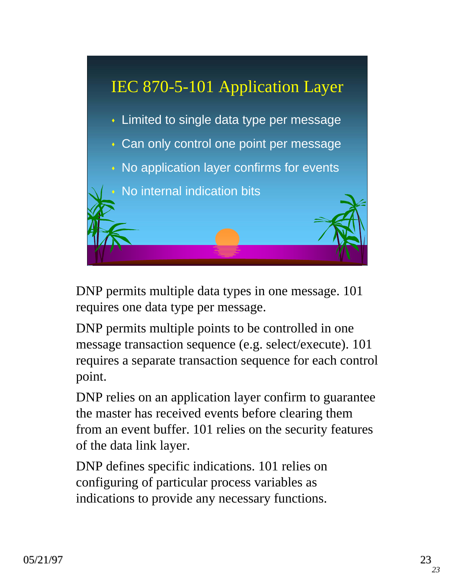

DNP permits multiple data types in one message. 101 requires one data type per message.

DNP permits multiple points to be controlled in one message transaction sequence (e.g. select/execute). 101 requires a separate transaction sequence for each control point.

DNP relies on an application layer confirm to guarantee the master has received events before clearing them from an event buffer. 101 relies on the security features of the data link layer.

DNP defines specific indications. 101 relies on configuring of particular process variables as indications to provide any necessary functions.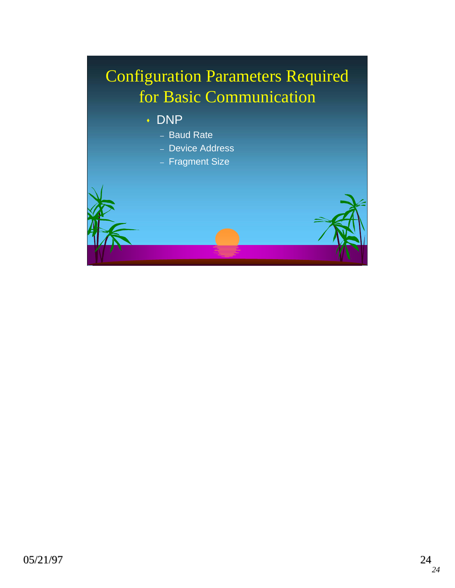# Configuration Parameters Required for Basic Communication

- DNP
	- Baud Rate
	- Device Address
	- Fragment Size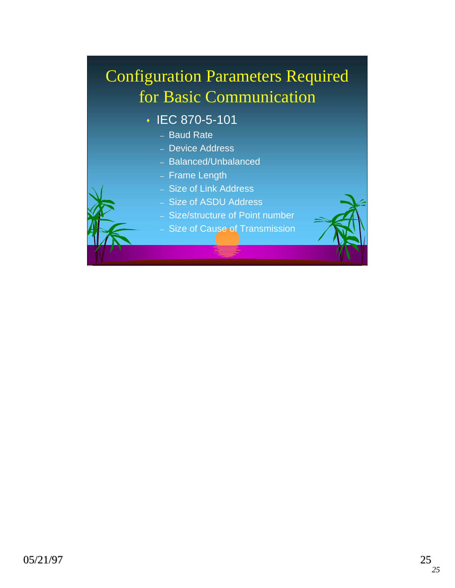# Configuration Parameters Required for Basic Communication

- IEC 870-5-101
	- Baud Rate
	- Device Address
	- Balanced/Unbalanced
	- Frame Length
	- Size of Link Address
	- Size of ASDU Address
	- Size/structure of Point number
	- Size of Cause of Transmission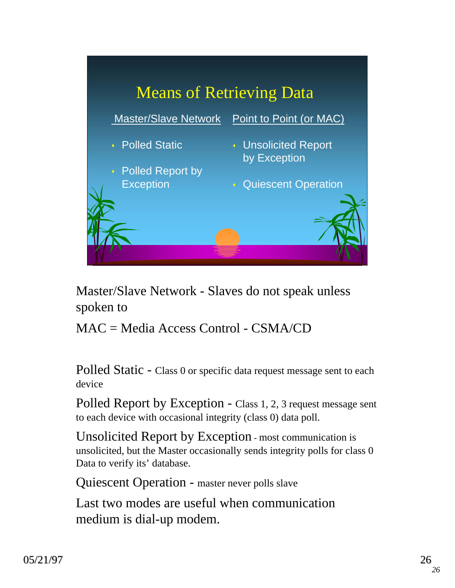

Master/Slave Network - Slaves do not speak unless spoken to

MAC = Media Access Control - CSMA/CD

Polled Static - Class 0 or specific data request message sent to each device

Polled Report by Exception - Class 1, 2, 3 request message sent to each device with occasional integrity (class 0) data poll.

Unsolicited Report by Exception - most communication is unsolicited, but the Master occasionally sends integrity polls for class 0 Data to verify its' database.

Quiescent Operation - master never polls slave

Last two modes are useful when communication medium is dial-up modem.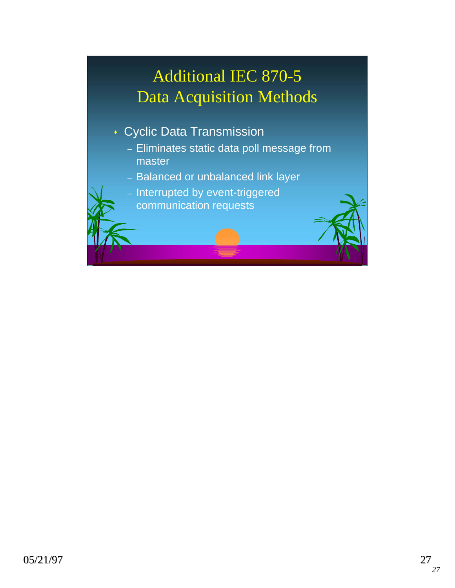# Additional IEC 870-5 Data Acquisition Methods

- Cyclic Data Transmission
	- Eliminates static data poll message from master
	- Balanced or unbalanced link layer
	- Interrupted by event-triggered
		- communication requests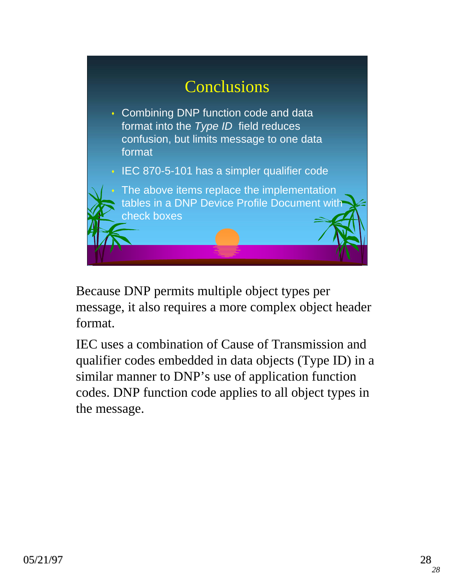

Because DNP permits multiple object types per message, it also requires a more complex object header format.

IEC uses a combination of Cause of Transmission and qualifier codes embedded in data objects (Type ID) in a similar manner to DNP's use of application function codes. DNP function code applies to all object types in the message.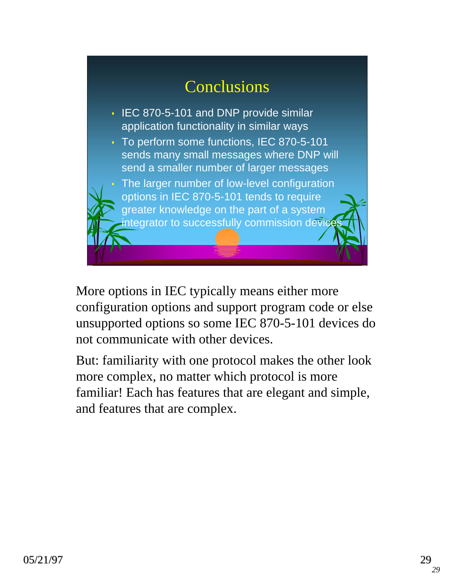# **Conclusions**

- **IEC 870-5-101 and DNP provide similar** application functionality in similar ways
- To perform some functions, IEC 870-5-101 sends many small messages where DNP will send a smaller number of larger messages
	- The larger number of low-level configuration options in IEC 870-5-101 tends to require greater knowledge on the part of a system integrator to successfully commission devices

More options in IEC typically means either more configuration options and support program code or else unsupported options so some IEC 870-5-101 devices do not communicate with other devices.

But: familiarity with one protocol makes the other look more complex, no matter which protocol is more familiar! Each has features that are elegant and simple, and features that are complex.